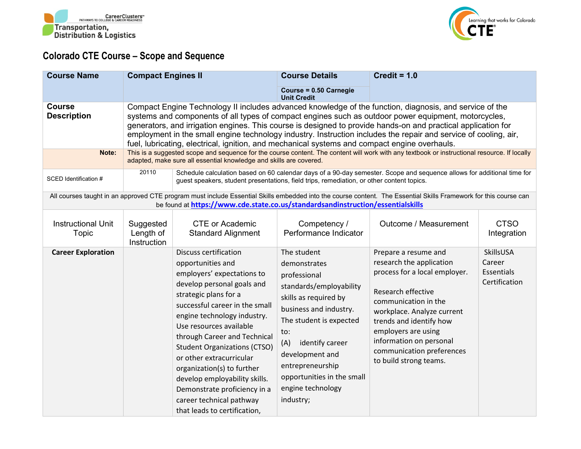



## **Colorado CTE Course – Scope and Sequence**

| <b>Course Name</b>                           | <b>Compact Engines II</b>                                                                                                                                                                                                                                                                                                                                                                                                                                                                                                                                                                                                                                                                             |                                                                                                                                                                                                                                                                                                                                                                                                                                                                                                  | <b>Course Details</b>                                                                                                                                                                                                                                                                        | Credit = $1.0$                                                                                                                                                                                                                                                                                    |                                                           |
|----------------------------------------------|-------------------------------------------------------------------------------------------------------------------------------------------------------------------------------------------------------------------------------------------------------------------------------------------------------------------------------------------------------------------------------------------------------------------------------------------------------------------------------------------------------------------------------------------------------------------------------------------------------------------------------------------------------------------------------------------------------|--------------------------------------------------------------------------------------------------------------------------------------------------------------------------------------------------------------------------------------------------------------------------------------------------------------------------------------------------------------------------------------------------------------------------------------------------------------------------------------------------|----------------------------------------------------------------------------------------------------------------------------------------------------------------------------------------------------------------------------------------------------------------------------------------------|---------------------------------------------------------------------------------------------------------------------------------------------------------------------------------------------------------------------------------------------------------------------------------------------------|-----------------------------------------------------------|
|                                              |                                                                                                                                                                                                                                                                                                                                                                                                                                                                                                                                                                                                                                                                                                       |                                                                                                                                                                                                                                                                                                                                                                                                                                                                                                  | Course = 0.50 Carnegie<br><b>Unit Credit</b>                                                                                                                                                                                                                                                 |                                                                                                                                                                                                                                                                                                   |                                                           |
| <b>Course</b><br><b>Description</b><br>Note: | Compact Engine Technology II includes advanced knowledge of the function, diagnosis, and service of the<br>systems and components of all types of compact engines such as outdoor power equipment, motorcycles,<br>generators, and irrigation engines. This course is designed to provide hands-on and practical application for<br>employment in the small engine technology industry. Instruction includes the repair and service of cooling, air,<br>fuel, lubricating, electrical, ignition, and mechanical systems and compact engine overhauls.<br>This is a suggested scope and sequence for the course content. The content will work with any textbook or instructional resource. If locally |                                                                                                                                                                                                                                                                                                                                                                                                                                                                                                  |                                                                                                                                                                                                                                                                                              |                                                                                                                                                                                                                                                                                                   |                                                           |
|                                              |                                                                                                                                                                                                                                                                                                                                                                                                                                                                                                                                                                                                                                                                                                       | adapted, make sure all essential knowledge and skills are covered.                                                                                                                                                                                                                                                                                                                                                                                                                               |                                                                                                                                                                                                                                                                                              |                                                                                                                                                                                                                                                                                                   |                                                           |
| SCED Identification #                        | 20110<br>Schedule calculation based on 60 calendar days of a 90-day semester. Scope and sequence allows for additional time for<br>guest speakers, student presentations, field trips, remediation, or other content topics.                                                                                                                                                                                                                                                                                                                                                                                                                                                                          |                                                                                                                                                                                                                                                                                                                                                                                                                                                                                                  |                                                                                                                                                                                                                                                                                              |                                                                                                                                                                                                                                                                                                   |                                                           |
|                                              |                                                                                                                                                                                                                                                                                                                                                                                                                                                                                                                                                                                                                                                                                                       | be found at https://www.cde.state.co.us/standardsandinstruction/essentialskills                                                                                                                                                                                                                                                                                                                                                                                                                  |                                                                                                                                                                                                                                                                                              | All courses taught in an approved CTE program must include Essential Skills embedded into the course content. The Essential Skills Framework for this course can                                                                                                                                  |                                                           |
| <b>Instructional Unit</b><br>Topic           | Suggested<br>Length of<br>Instruction                                                                                                                                                                                                                                                                                                                                                                                                                                                                                                                                                                                                                                                                 | <b>CTE or Academic</b><br><b>Standard Alignment</b>                                                                                                                                                                                                                                                                                                                                                                                                                                              | Competency /<br>Performance Indicator                                                                                                                                                                                                                                                        | Outcome / Measurement                                                                                                                                                                                                                                                                             | <b>CTSO</b><br>Integration                                |
| <b>Career Exploration</b>                    |                                                                                                                                                                                                                                                                                                                                                                                                                                                                                                                                                                                                                                                                                                       | <b>Discuss certification</b><br>opportunities and<br>employers' expectations to<br>develop personal goals and<br>strategic plans for a<br>successful career in the small<br>engine technology industry.<br>Use resources available<br>through Career and Technical<br><b>Student Organizations (CTSO)</b><br>or other extracurricular<br>organization(s) to further<br>develop employability skills.<br>Demonstrate proficiency in a<br>career technical pathway<br>that leads to certification, | The student<br>demonstrates<br>professional<br>standards/employability<br>skills as required by<br>business and industry.<br>The student is expected<br>to:<br>(A)<br>identify career<br>development and<br>entrepreneurship<br>opportunities in the small<br>engine technology<br>industry; | Prepare a resume and<br>research the application<br>process for a local employer.<br>Research effective<br>communication in the<br>workplace. Analyze current<br>trends and identify how<br>employers are using<br>information on personal<br>communication preferences<br>to build strong teams. | SkillsUSA<br>Career<br><b>Essentials</b><br>Certification |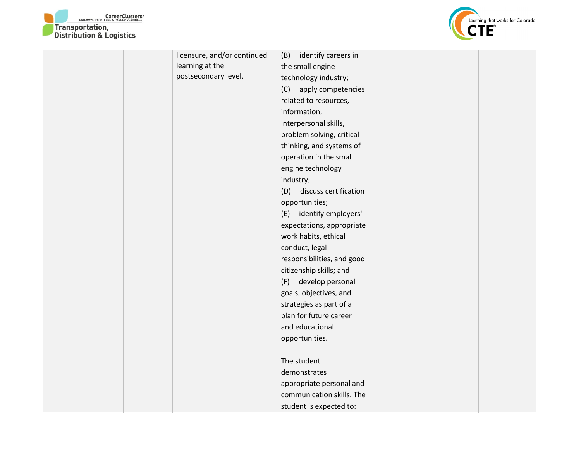



| licensure, and/or continued | identify careers in<br>(B)   |  |
|-----------------------------|------------------------------|--|
| learning at the             | the small engine             |  |
| postsecondary level.        | technology industry;         |  |
|                             | (C)<br>apply competencies    |  |
|                             | related to resources,        |  |
|                             | information,                 |  |
|                             | interpersonal skills,        |  |
|                             | problem solving, critical    |  |
|                             | thinking, and systems of     |  |
|                             | operation in the small       |  |
|                             | engine technology            |  |
|                             | industry;                    |  |
|                             | discuss certification<br>(D) |  |
|                             | opportunities;               |  |
|                             | (E) identify employers'      |  |
|                             | expectations, appropriate    |  |
|                             | work habits, ethical         |  |
|                             | conduct, legal               |  |
|                             | responsibilities, and good   |  |
|                             | citizenship skills; and      |  |
|                             | develop personal<br>(F)      |  |
|                             | goals, objectives, and       |  |
|                             | strategies as part of a      |  |
|                             | plan for future career       |  |
|                             | and educational              |  |
|                             | opportunities.               |  |
|                             |                              |  |
|                             | The student                  |  |
|                             | demonstrates                 |  |
|                             | appropriate personal and     |  |
|                             | communication skills. The    |  |
|                             | student is expected to:      |  |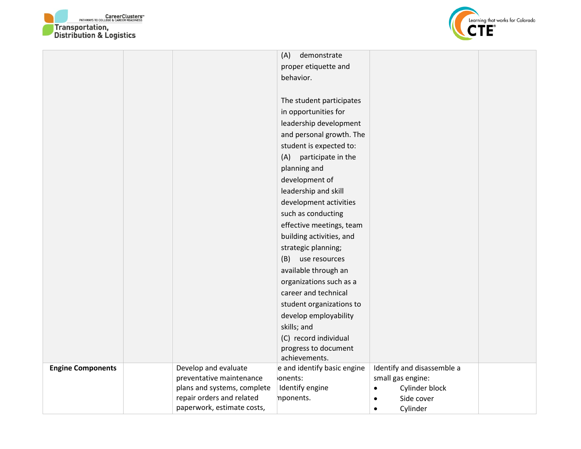



|                          |                                                         | (A)<br>demonstrate          |                                                  |  |
|--------------------------|---------------------------------------------------------|-----------------------------|--------------------------------------------------|--|
|                          |                                                         | proper etiquette and        |                                                  |  |
|                          |                                                         | behavior.                   |                                                  |  |
|                          |                                                         |                             |                                                  |  |
|                          |                                                         | The student participates    |                                                  |  |
|                          |                                                         | in opportunities for        |                                                  |  |
|                          |                                                         | leadership development      |                                                  |  |
|                          |                                                         | and personal growth. The    |                                                  |  |
|                          |                                                         | student is expected to:     |                                                  |  |
|                          |                                                         | participate in the<br>(A)   |                                                  |  |
|                          |                                                         | planning and                |                                                  |  |
|                          |                                                         | development of              |                                                  |  |
|                          |                                                         | leadership and skill        |                                                  |  |
|                          |                                                         | development activities      |                                                  |  |
|                          |                                                         | such as conducting          |                                                  |  |
|                          |                                                         | effective meetings, team    |                                                  |  |
|                          |                                                         | building activities, and    |                                                  |  |
|                          |                                                         | strategic planning;         |                                                  |  |
|                          |                                                         | (B) use resources           |                                                  |  |
|                          |                                                         | available through an        |                                                  |  |
|                          |                                                         | organizations such as a     |                                                  |  |
|                          |                                                         | career and technical        |                                                  |  |
|                          |                                                         | student organizations to    |                                                  |  |
|                          |                                                         | develop employability       |                                                  |  |
|                          |                                                         | skills; and                 |                                                  |  |
|                          |                                                         | (C) record individual       |                                                  |  |
|                          |                                                         | progress to document        |                                                  |  |
|                          |                                                         | achievements.               |                                                  |  |
| <b>Engine Components</b> | Develop and evaluate                                    | e and identify basic engine | Identify and disassemble a                       |  |
|                          | preventative maintenance<br>plans and systems, complete | ionents:<br>Identify engine | small gas engine:<br>Cylinder block<br>$\bullet$ |  |
|                          | repair orders and related                               | nponents.                   | Side cover<br>$\bullet$                          |  |
|                          | paperwork, estimate costs,                              |                             | Cylinder<br>$\bullet$                            |  |
|                          |                                                         |                             |                                                  |  |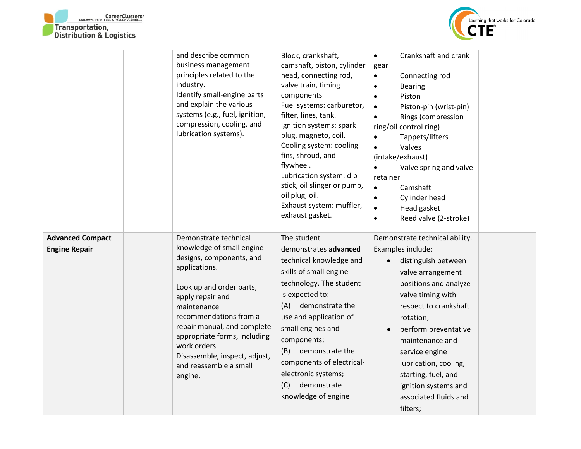



|                                                 | and describe common<br>business management<br>principles related to the<br>industry.<br>Identify small-engine parts<br>and explain the various<br>systems (e.g., fuel, ignition,<br>compression, cooling, and<br>lubrication systems).                                                                                                        | Block, crankshaft,<br>camshaft, piston, cylinder<br>head, connecting rod,<br>valve train, timing<br>components<br>Fuel systems: carburetor,<br>filter, lines, tank.<br>Ignition systems: spark<br>plug, magneto, coil.<br>Cooling system: cooling<br>fins, shroud, and<br>flywheel.<br>Lubrication system: dip<br>stick, oil slinger or pump,<br>oil plug, oil.<br>Exhaust system: muffler,<br>exhaust gasket. | Crankshaft and crank<br>$\bullet$<br>gear<br>Connecting rod<br>$\bullet$<br><b>Bearing</b><br>$\bullet$<br>Piston<br>$\bullet$<br>Piston-pin (wrist-pin)<br>$\bullet$<br>Rings (compression<br>ring/oil control ring)<br>Tappets/lifters<br>٠<br>Valves<br>$\bullet$<br>(intake/exhaust)<br>Valve spring and valve<br>$\bullet$<br>retainer<br>Camshaft<br>$\bullet$<br>Cylinder head<br>$\bullet$<br>Head gasket<br>$\bullet$<br>Reed valve (2-stroke)<br>$\bullet$ |
|-------------------------------------------------|-----------------------------------------------------------------------------------------------------------------------------------------------------------------------------------------------------------------------------------------------------------------------------------------------------------------------------------------------|----------------------------------------------------------------------------------------------------------------------------------------------------------------------------------------------------------------------------------------------------------------------------------------------------------------------------------------------------------------------------------------------------------------|----------------------------------------------------------------------------------------------------------------------------------------------------------------------------------------------------------------------------------------------------------------------------------------------------------------------------------------------------------------------------------------------------------------------------------------------------------------------|
| <b>Advanced Compact</b><br><b>Engine Repair</b> | Demonstrate technical<br>knowledge of small engine<br>designs, components, and<br>applications.<br>Look up and order parts,<br>apply repair and<br>maintenance<br>recommendations from a<br>repair manual, and complete<br>appropriate forms, including<br>work orders.<br>Disassemble, inspect, adjust,<br>and reassemble a small<br>engine. | The student<br>demonstrates advanced<br>technical knowledge and<br>skills of small engine<br>technology. The student<br>is expected to:<br>(A)<br>demonstrate the<br>use and application of<br>small engines and<br>components;<br>(B) demonstrate the<br>components of electrical-<br>electronic systems;<br>demonstrate<br>(C)<br>knowledge of engine                                                        | Demonstrate technical ability.<br>Examples include:<br>distinguish between<br>$\bullet$<br>valve arrangement<br>positions and analyze<br>valve timing with<br>respect to crankshaft<br>rotation;<br>perform preventative<br>$\bullet$<br>maintenance and<br>service engine<br>lubrication, cooling,<br>starting, fuel, and<br>ignition systems and<br>associated fluids and<br>filters;                                                                              |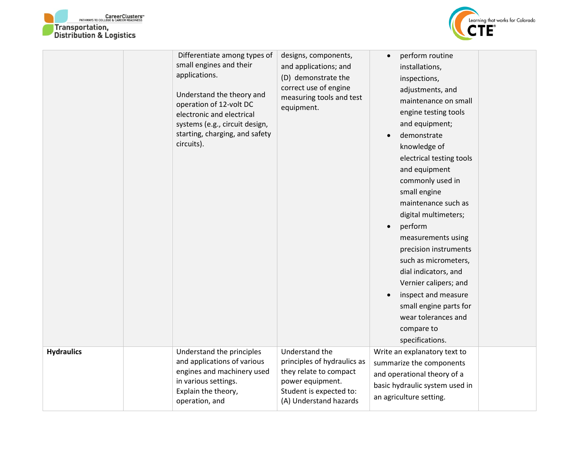



|                   | Differentiate among types of<br>small engines and their<br>applications.<br>Understand the theory and<br>operation of 12-volt DC<br>electronic and electrical<br>systems (e.g., circuit design,<br>starting, charging, and safety<br>circuits). | designs, components,<br>and applications; and<br>(D) demonstrate the<br>correct use of engine<br>measuring tools and test<br>equipment.          | perform routine<br>$\bullet$<br>installations,<br>inspections,<br>adjustments, and<br>maintenance on small<br>engine testing tools<br>and equipment;<br>demonstrate<br>knowledge of<br>electrical testing tools<br>and equipment<br>commonly used in<br>small engine<br>maintenance such as<br>digital multimeters;<br>perform<br>measurements using<br>precision instruments<br>such as micrometers,<br>dial indicators, and<br>Vernier calipers; and<br>inspect and measure<br>small engine parts for<br>wear tolerances and<br>compare to<br>specifications. |  |
|-------------------|-------------------------------------------------------------------------------------------------------------------------------------------------------------------------------------------------------------------------------------------------|--------------------------------------------------------------------------------------------------------------------------------------------------|-----------------------------------------------------------------------------------------------------------------------------------------------------------------------------------------------------------------------------------------------------------------------------------------------------------------------------------------------------------------------------------------------------------------------------------------------------------------------------------------------------------------------------------------------------------------|--|
| <b>Hydraulics</b> | Understand the principles<br>and applications of various<br>engines and machinery used<br>in various settings.<br>Explain the theory,<br>operation, and                                                                                         | Understand the<br>principles of hydraulics as<br>they relate to compact<br>power equipment.<br>Student is expected to:<br>(A) Understand hazards | Write an explanatory text to<br>summarize the components<br>and operational theory of a<br>basic hydraulic system used in<br>an agriculture setting.                                                                                                                                                                                                                                                                                                                                                                                                            |  |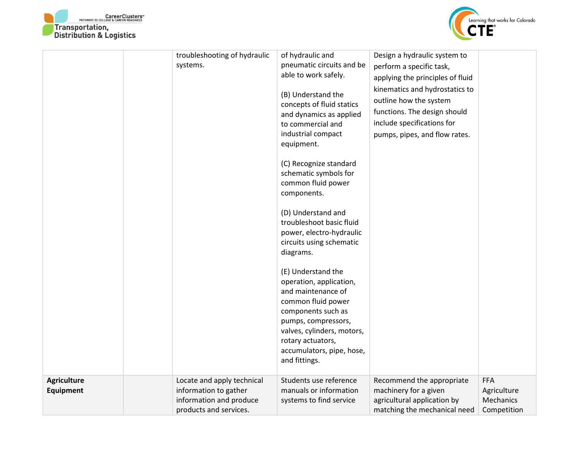



|                                 | troubleshooting of hydraulic<br>systems.                                                                 | of hydraulic and<br>pneumatic circuits and be<br>able to work safely.<br>(B) Understand the<br>concepts of fluid statics<br>and dynamics as applied<br>to commercial and<br>industrial compact<br>equipment.<br>(C) Recognize standard<br>schematic symbols for<br>common fluid power<br>components.<br>(D) Understand and<br>troubleshoot basic fluid<br>power, electro-hydraulic<br>circuits using schematic<br>diagrams.<br>(E) Understand the<br>operation, application,<br>and maintenance of<br>common fluid power<br>components such as<br>pumps, compressors,<br>valves, cylinders, motors,<br>rotary actuators,<br>accumulators, pipe, hose,<br>and fittings. | Design a hydraulic system to<br>perform a specific task,<br>applying the principles of fluid<br>kinematics and hydrostatics to<br>outline how the system<br>functions. The design should<br>include specifications for<br>pumps, pipes, and flow rates. |                                                       |
|---------------------------------|----------------------------------------------------------------------------------------------------------|------------------------------------------------------------------------------------------------------------------------------------------------------------------------------------------------------------------------------------------------------------------------------------------------------------------------------------------------------------------------------------------------------------------------------------------------------------------------------------------------------------------------------------------------------------------------------------------------------------------------------------------------------------------------|---------------------------------------------------------------------------------------------------------------------------------------------------------------------------------------------------------------------------------------------------------|-------------------------------------------------------|
| <b>Agriculture</b><br>Equipment | Locate and apply technical<br>information to gather<br>information and produce<br>products and services. | Students use reference<br>manuals or information<br>systems to find service                                                                                                                                                                                                                                                                                                                                                                                                                                                                                                                                                                                            | Recommend the appropriate<br>machinery for a given<br>agricultural application by<br>matching the mechanical need                                                                                                                                       | <b>FFA</b><br>Agriculture<br>Mechanics<br>Competition |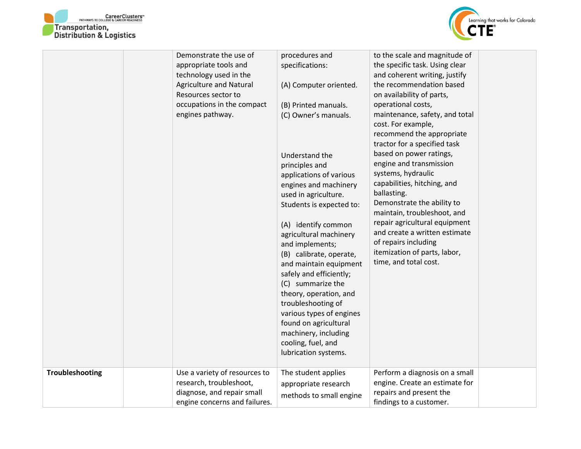



|                 | Demonstrate the use of<br>appropriate tools and<br>technology used in the<br>Agriculture and Natural<br>Resources sector to<br>occupations in the compact<br>engines pathway. | procedures and<br>specifications:<br>(A) Computer oriented.<br>(B) Printed manuals.<br>(C) Owner's manuals.<br>Understand the<br>principles and<br>applications of various<br>engines and machinery<br>used in agriculture.<br>Students is expected to:<br>(A) identify common<br>agricultural machinery<br>and implements;<br>(B) calibrate, operate,<br>and maintain equipment<br>safely and efficiently;<br>(C) summarize the<br>theory, operation, and<br>troubleshooting of<br>various types of engines<br>found on agricultural<br>machinery, including<br>cooling, fuel, and<br>lubrication systems. | to the scale and magnitude of<br>the specific task. Using clear<br>and coherent writing, justify<br>the recommendation based<br>on availability of parts,<br>operational costs,<br>maintenance, safety, and total<br>cost. For example,<br>recommend the appropriate<br>tractor for a specified task<br>based on power ratings,<br>engine and transmission<br>systems, hydraulic<br>capabilities, hitching, and<br>ballasting.<br>Demonstrate the ability to<br>maintain, troubleshoot, and<br>repair agricultural equipment<br>and create a written estimate<br>of repairs including<br>itemization of parts, labor,<br>time, and total cost. |  |
|-----------------|-------------------------------------------------------------------------------------------------------------------------------------------------------------------------------|-------------------------------------------------------------------------------------------------------------------------------------------------------------------------------------------------------------------------------------------------------------------------------------------------------------------------------------------------------------------------------------------------------------------------------------------------------------------------------------------------------------------------------------------------------------------------------------------------------------|------------------------------------------------------------------------------------------------------------------------------------------------------------------------------------------------------------------------------------------------------------------------------------------------------------------------------------------------------------------------------------------------------------------------------------------------------------------------------------------------------------------------------------------------------------------------------------------------------------------------------------------------|--|
| Troubleshooting | Use a variety of resources to<br>research, troubleshoot,<br>diagnose, and repair small<br>engine concerns and failures.                                                       | The student applies<br>appropriate research<br>methods to small engine                                                                                                                                                                                                                                                                                                                                                                                                                                                                                                                                      | Perform a diagnosis on a small<br>engine. Create an estimate for<br>repairs and present the<br>findings to a customer.                                                                                                                                                                                                                                                                                                                                                                                                                                                                                                                         |  |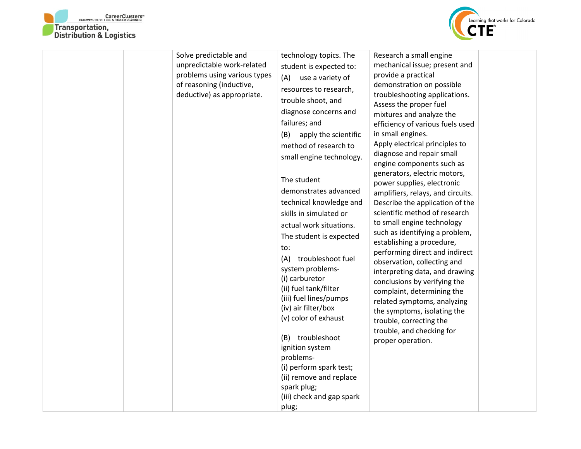



| Solve predictable and<br>unpredictable work-related<br>problems using various types<br>of reasoning (inductive,<br>deductive) as appropriate. | technology topics. The<br>student is expected to:<br>(A) use a variety of<br>resources to research,<br>trouble shoot, and<br>diagnose concerns and<br>failures; and<br>(B)<br>apply the scientific<br>method of research to<br>small engine technology.<br>The student<br>demonstrates advanced<br>technical knowledge and<br>skills in simulated or<br>actual work situations.<br>The student is expected<br>to:<br>troubleshoot fuel<br>(A)<br>system problems-<br>(i) carburetor<br>(ii) fuel tank/filter<br>(iii) fuel lines/pumps<br>(iv) air filter/box<br>(v) color of exhaust<br>(B) troubleshoot<br>ignition system<br>problems-<br>(i) perform spark test;<br>(ii) remove and replace<br>spark plug;<br>(iii) check and gap spark<br>plug; | Research a small engine<br>mechanical issue; present and<br>provide a practical<br>demonstration on possible<br>troubleshooting applications.<br>Assess the proper fuel<br>mixtures and analyze the<br>efficiency of various fuels used<br>in small engines.<br>Apply electrical principles to<br>diagnose and repair small<br>engine components such as<br>generators, electric motors,<br>power supplies, electronic<br>amplifiers, relays, and circuits.<br>Describe the application of the<br>scientific method of research<br>to small engine technology<br>such as identifying a problem,<br>establishing a procedure,<br>performing direct and indirect<br>observation, collecting and<br>interpreting data, and drawing<br>conclusions by verifying the<br>complaint, determining the<br>related symptoms, analyzing<br>the symptoms, isolating the<br>trouble, correcting the<br>trouble, and checking for<br>proper operation. |  |
|-----------------------------------------------------------------------------------------------------------------------------------------------|------------------------------------------------------------------------------------------------------------------------------------------------------------------------------------------------------------------------------------------------------------------------------------------------------------------------------------------------------------------------------------------------------------------------------------------------------------------------------------------------------------------------------------------------------------------------------------------------------------------------------------------------------------------------------------------------------------------------------------------------------|------------------------------------------------------------------------------------------------------------------------------------------------------------------------------------------------------------------------------------------------------------------------------------------------------------------------------------------------------------------------------------------------------------------------------------------------------------------------------------------------------------------------------------------------------------------------------------------------------------------------------------------------------------------------------------------------------------------------------------------------------------------------------------------------------------------------------------------------------------------------------------------------------------------------------------------|--|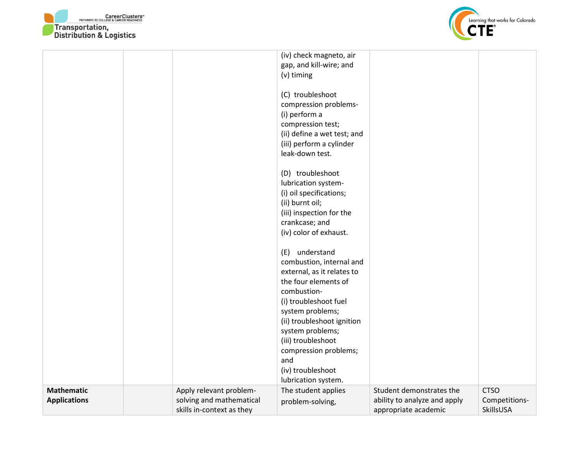



|                     |                           | (iv) check magneto, air     |                              |               |
|---------------------|---------------------------|-----------------------------|------------------------------|---------------|
|                     |                           | gap, and kill-wire; and     |                              |               |
|                     |                           | (v) timing                  |                              |               |
|                     |                           | (C) troubleshoot            |                              |               |
|                     |                           | compression problems-       |                              |               |
|                     |                           | (i) perform a               |                              |               |
|                     |                           | compression test;           |                              |               |
|                     |                           | (ii) define a wet test; and |                              |               |
|                     |                           | (iii) perform a cylinder    |                              |               |
|                     |                           | leak-down test.             |                              |               |
|                     |                           |                             |                              |               |
|                     |                           | (D) troubleshoot            |                              |               |
|                     |                           | lubrication system-         |                              |               |
|                     |                           | (i) oil specifications;     |                              |               |
|                     |                           | (ii) burnt oil;             |                              |               |
|                     |                           | (iii) inspection for the    |                              |               |
|                     |                           | crankcase; and              |                              |               |
|                     |                           | (iv) color of exhaust.      |                              |               |
|                     |                           |                             |                              |               |
|                     |                           | (E) understand              |                              |               |
|                     |                           | combustion, internal and    |                              |               |
|                     |                           | external, as it relates to  |                              |               |
|                     |                           | the four elements of        |                              |               |
|                     |                           | combustion-                 |                              |               |
|                     |                           | (i) troubleshoot fuel       |                              |               |
|                     |                           | system problems;            |                              |               |
|                     |                           | (ii) troubleshoot ignition  |                              |               |
|                     |                           | system problems;            |                              |               |
|                     |                           | (iii) troubleshoot          |                              |               |
|                     |                           | compression problems;       |                              |               |
|                     |                           | and                         |                              |               |
|                     |                           | (iv) troubleshoot           |                              |               |
|                     |                           | lubrication system.         |                              |               |
| <b>Mathematic</b>   | Apply relevant problem-   | The student applies         | Student demonstrates the     | <b>CTSO</b>   |
| <b>Applications</b> | solving and mathematical  | problem-solving,            | ability to analyze and apply | Competitions- |
|                     | skills in-context as they |                             | appropriate academic         | SkillsUSA     |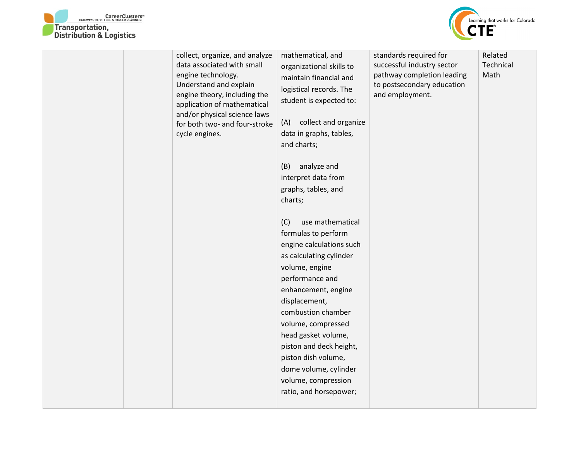



| collect, organize, and analyze<br>data associated with small<br>engine technology.<br>Understand and explain<br>engine theory, including the<br>application of mathematical<br>and/or physical science laws<br>for both two- and four-stroke<br>cycle engines. | mathematical, and<br>organizational skills to<br>maintain financial and<br>logistical records. The<br>student is expected to:<br>collect and organize<br>(A)<br>data in graphs, tables,<br>and charts;<br>(B)<br>analyze and<br>interpret data from<br>graphs, tables, and<br>charts;<br>use mathematical<br>(C)<br>formulas to perform<br>engine calculations such<br>as calculating cylinder<br>volume, engine<br>performance and<br>enhancement, engine<br>displacement,<br>combustion chamber<br>volume, compressed<br>head gasket volume,<br>piston and deck height,<br>piston dish volume,<br>dome volume, cylinder<br>volume, compression<br>ratio, and horsepower; | standards required for<br>successful industry sector<br>pathway completion leading<br>to postsecondary education<br>and employment. | Related<br>Technical<br>Math |
|----------------------------------------------------------------------------------------------------------------------------------------------------------------------------------------------------------------------------------------------------------------|----------------------------------------------------------------------------------------------------------------------------------------------------------------------------------------------------------------------------------------------------------------------------------------------------------------------------------------------------------------------------------------------------------------------------------------------------------------------------------------------------------------------------------------------------------------------------------------------------------------------------------------------------------------------------|-------------------------------------------------------------------------------------------------------------------------------------|------------------------------|